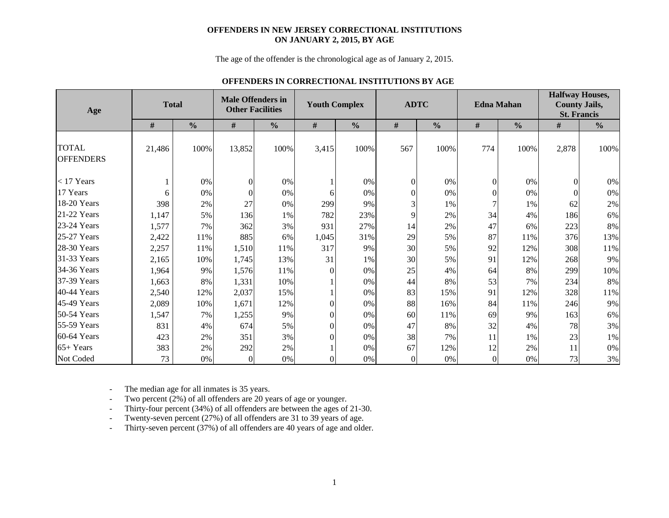#### **OFFENDERS IN NEW JERSEY CORRECTIONAL INSTITUTIONS ON JANUARY 2, 2015, BY AGE**

The age of the offender is the chronological age as of January 2, 2015.

### **OFFENDERS IN CORRECTIONAL INSTITUTIONS BY AGE**

| Age                              |        | <b>Total</b>  |          | <b>Male Offenders in</b><br><b>Other Facilities</b> |                | <b>Youth Complex</b> |          | <b>ADTC</b>   |                  | <b>Edna Mahan</b> | <b>Halfway Houses,</b><br><b>County Jails,</b><br><b>St. Francis</b> |               |  |  |
|----------------------------------|--------|---------------|----------|-----------------------------------------------------|----------------|----------------------|----------|---------------|------------------|-------------------|----------------------------------------------------------------------|---------------|--|--|
|                                  | #      | $\frac{0}{0}$ | $\#$     | $\frac{0}{0}$                                       | $\#$           | $\frac{0}{0}$        | $\#$     | $\frac{0}{0}$ | $\#$             | $\frac{0}{0}$     | $\#$                                                                 | $\frac{0}{0}$ |  |  |
| <b>TOTAL</b><br><b>OFFENDERS</b> | 21,486 | 100%          | 13,852   | 100%                                                | 3,415          | 100%                 | 567      | 100%          | 774              | 100%              | 2,878                                                                | 100%          |  |  |
| $<$ 17 Years                     |        | 0%            | $\Omega$ | 0%                                                  |                | 0%                   | $\Omega$ | 0%            | $\overline{0}$   | 0%                |                                                                      | 0%            |  |  |
| 17 Years                         | 6      | 0%            |          | 0%                                                  | 6              | 0%                   |          | $0\%$         | $\boldsymbol{0}$ | 0%                |                                                                      | 0%            |  |  |
| 18-20 Years                      | 398    | 2%            | 27       | 0%                                                  | 299            | 9%                   | 3        | 1%            | 7                | 1%                | 62                                                                   | 2%            |  |  |
| 21-22 Years                      | 1,147  | 5%            | 136      | 1%                                                  | 782            | 23%                  | 9        | 2%            | 34               | 4%                | 186                                                                  | 6%            |  |  |
| 23-24 Years                      | 1,577  | 7%            | 362      | 3%                                                  | 931            | 27%                  | 14       | 2%            | 47               | 6%                | 223                                                                  | $8\%$         |  |  |
| 25-27 Years                      | 2,422  | 11%           | 885      | 6%                                                  | 1,045          | 31%                  | 29       | 5%            | 87               | 11%               | 376                                                                  | 13%           |  |  |
| 28-30 Years                      | 2,257  | 11%           | 1,510    | 11%                                                 | 317            | 9%                   | 30       | 5%            | 92               | 12%               | 308                                                                  | 11%           |  |  |
| 31-33 Years                      | 2,165  | 10%           | 1,745    | 13%                                                 | 31             | 1%                   | 30       | 5%            | 91               | 12%               | 268                                                                  | 9%            |  |  |
| 34-36 Years                      | 1,964  | 9%            | 1,576    | 11%                                                 | 0              | $0\%$                | 25       | 4%            | 64               | 8%                | 299                                                                  | 10%           |  |  |
| 37-39 Years                      | 1,663  | 8%            | 1,331    | 10%                                                 |                | 0%                   | 44       | 8%            | 53               | 7%                | 234                                                                  | 8%            |  |  |
| 40-44 Years                      | 2,540  | 12%           | 2,037    | 15%                                                 |                | 0%                   | 83       | 15%           | 91               | 12%               | 328                                                                  | 11%           |  |  |
| 45-49 Years                      | 2,089  | 10%           | 1,671    | 12%                                                 | $\Omega$       | 0%                   | 88       | 16%           | 84               | 11%               | 246                                                                  | 9%            |  |  |
| 50-54 Years                      | 1,547  | 7%            | 1,255    | 9%                                                  | 0              | 0%                   | 60       | 11%           | 69               | 9%                | 163                                                                  | 6%            |  |  |
| 55-59 Years                      | 831    | 4%            | 674      | 5%                                                  | $\Omega$       | 0%                   | 47       | 8%            | 32               | 4%                | 78                                                                   | 3%            |  |  |
| 60-64 Years                      | 423    | 2%            | 351      | 3%                                                  | 0              | 0%                   | 38       | 7%            | 11               | 1%                | 23                                                                   | 1%            |  |  |
| $65+Years$                       | 383    | 2%            | 292      | 2%                                                  |                | 0%                   | 67       | 12%           | 12               | 2%                | 11                                                                   | 0%            |  |  |
| Not Coded                        | 73     | 0%            | $\theta$ | 0%                                                  | $\overline{0}$ | 0%                   | $\Omega$ | 0%            | $\boldsymbol{0}$ | 0%                | 73                                                                   | 3%            |  |  |

-The median age for all inmates is 35 years.

-Two percent (2%) of all offenders are 20 years of age or younger.

-Thirty-four percent (34%) of all offenders are between the ages of 21-30.

-Twenty-seven percent (27%) of all offenders are 31 to 39 years of age.

-Thirty-seven percent (37%) of all offenders are 40 years of age and older.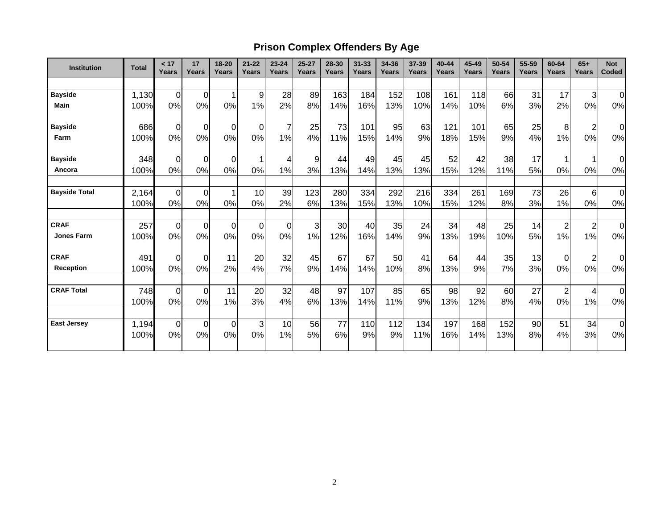# **Prison Complex Offenders By Age**

| <b>Institution</b>   | <b>Total</b> | < 17<br>Years  | 17<br>Years | 18-20<br>Years | $21 - 22$<br>Years | $23 - 24$<br>Years | $25 - 27$<br>Years | 28-30<br><b>Years</b> | $31 - 33$<br>Years | 34-36<br>Years | 37-39<br>Years | 40-44<br>Years | 45-49<br>Years | 50-54<br>Years | 55-59<br>Years | 60-64<br><b>Years</b> | $65+$<br>Years          | <b>Not</b><br>Coded |
|----------------------|--------------|----------------|-------------|----------------|--------------------|--------------------|--------------------|-----------------------|--------------------|----------------|----------------|----------------|----------------|----------------|----------------|-----------------------|-------------------------|---------------------|
|                      |              |                |             |                |                    |                    |                    |                       |                    |                |                |                |                |                |                |                       |                         |                     |
| <b>Bayside</b>       | 1,130        | $\mathbf 0$    | $\mathbf 0$ | $\mathbf{1}$   | 9                  | 28                 | 89                 | 163                   | 184                | 152            | 108            | 161            | 118            | 66             | 31             | 17                    | 3                       | $\mathbf 0$         |
| <b>Main</b>          | 100%         | 0%             | 0%          | 0%             | 1%                 | 2%                 | 8%                 | 14%                   | 16%                | 13%            | 10%            | 14%            | 10%            | 6%             | 3%             | 2%                    | 0%                      | 0%                  |
| <b>Bayside</b>       | 686          | 0              | 0           | $\overline{O}$ | 0                  | 7                  | 25                 | 73                    | 101                | 95             | 63             | 121            | 101            | 65             | 25             | 8                     | $\overline{\mathbf{c}}$ | $\Omega$            |
| Farm                 | 100%         | 0%             | 0%          | 0%             | 0%                 | 1%                 | 4%                 | 11%                   | 15%                | 14%            | 9%             | 18%            | 15%            | 9%             | 4%             | 1%                    | 0%                      | $0\%$               |
| <b>Bayside</b>       | 348          | 0              | 0           | $\overline{0}$ |                    | 4                  | 9                  | 44                    | 49                 | 45             | 45             | 52             | 42             | 38             | 17             |                       |                         | 0                   |
| Ancora               | 100%         | 0%             | 0%          | 0%             | 0%                 | 1%                 | 3%                 | 13%                   | 14%                | 13%            | 13%            | 15%            | 12%            | 11%            | 5%             | 0%                    | 0%                      | 0%                  |
| <b>Bayside Total</b> | 2,164        | $\overline{0}$ | $\mathbf 0$ | $\mathbf{1}$   | 10                 | 39                 | 123                | 280                   | 334                | 292            | 216            | 334            | 261            | 169            | 73             | 26                    | $6\phantom{1}6$         | $\mathbf 0$         |
|                      | 100%         | 0%             | 0%          | 0%             | 0%                 | 2%                 | 6%                 | 13%                   | 15%                | 13%            | 10%            | 15%            | 12%            | 8%             | 3%             | 1%                    | 0%                      | 0%                  |
| <b>CRAF</b>          | 257          | $\mathbf 0$    | $\mathbf 0$ | $\overline{0}$ | 0                  | $\mathbf 0$        | 3                  | 30                    | 40                 | 35             | 24             | 34             | 48             | 25             | 14             | $\overline{c}$        | $\overline{c}$          | $\mathbf 0$         |
| <b>Jones Farm</b>    | 100%         | 0%             | 0%          | 0%             | 0%                 | 0%                 | 1%                 | 12%                   | 16%                | 14%            | 9%             | 13%            | 19%            | 10%            | 5%             | 1%                    | 1%                      | 0%                  |
| <b>CRAF</b>          | 491          | 0              | 0           | 11             | 20                 | 32                 | 45                 | 67                    | 67                 | 50             | 41             | 64             | 44             | 35             | 13             | $\Omega$              | $\overline{\mathbf{c}}$ | 0                   |
| Reception            | 100%         | 0%             | 0%          | 2%             | 4%                 | 7%                 | 9%                 | 14%                   | 14%                | 10%            | 8%             | 13%            | 9%             | 7%             | 3%             | 0%                    | 0%                      | 0%                  |
| <b>CRAF Total</b>    | 748          | $\mathbf 0$    | $\mathbf 0$ | 11             | 20                 | 32                 | 48                 | 97                    | 107                | 85             | 65             | 98             | 92             | 60             | 27             | $\overline{2}$        | 4                       | $\mathbf 0$         |
|                      | 100%         | 0%             | 0%          | 1%             | 3%                 | 4%                 | 6%                 | 13%                   | 14%                | 11%            | 9%             | 13%            | 12%            | 8%             | 4%             | 0%                    | 1%                      | 0%                  |
| <b>East Jersey</b>   | 1,194        | $\mathbf 0$    | $\mathbf 0$ | $\overline{0}$ | 3                  | 10                 | 56                 | 77                    | 110                | 112            | 134            | 197            | 168            | 152            | 90             | 51                    | 34                      | $\mathbf 0$         |
|                      | 100%         | 0%             | 0%          | 0%             | 0%                 | 1%                 | 5%                 | 6%                    | 9%                 | 9%             | 11%            | 16%            | 14%            | 13%            | 8%             | 4%                    | 3%                      | 0%                  |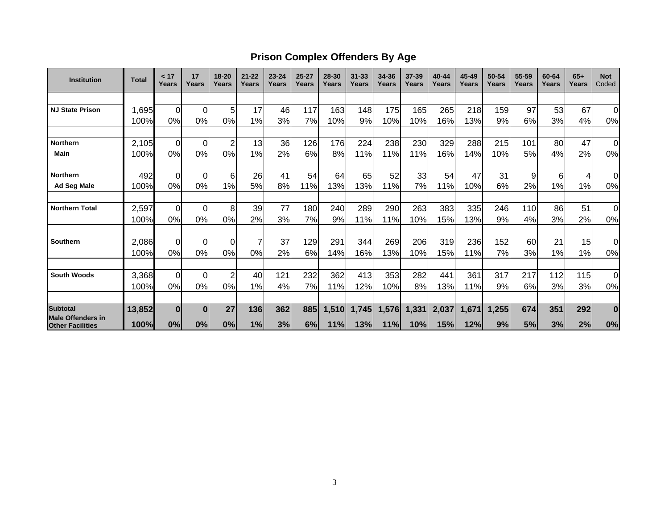### **Prison Complex Offenders By Age**

| <b>Institution</b>                                  | <b>Total</b> | < 17<br>Years  | 17<br>Years | $18 - 20$<br>Years | $21 - 22$<br>Years | $23 - 24$<br>Years | $25 - 27$<br>Years | 28-30<br>Years | $31 - 33$<br>Years | 34-36<br>Years | 37-39<br>Years | 40-44<br>Years | 45-49<br>Years | 50-54<br>Years | 55-59<br>Years | 60-64<br>Years | $65+$<br>Years | <b>Not</b><br>Coded |
|-----------------------------------------------------|--------------|----------------|-------------|--------------------|--------------------|--------------------|--------------------|----------------|--------------------|----------------|----------------|----------------|----------------|----------------|----------------|----------------|----------------|---------------------|
|                                                     |              |                |             |                    |                    |                    |                    |                |                    |                |                |                |                |                |                |                |                |                     |
| <b>NJ State Prison</b>                              | 1,695        | $\Omega$       | 0           | 5                  | 17                 | 46                 | 117                | 163            | 148                | 175            | 165            | 265            | 218            | 159            | 97             | 53             | 67             | $\Omega$            |
|                                                     | 100%         | 0%             | 0%          | 0%                 | 1%                 | 3%l                | 7%                 | 10%            | 9%                 | 10%            | 10%            | 16%            | 13%            | 9%             | 6%             | 3%             | 4%             | 0%                  |
|                                                     |              |                |             |                    |                    |                    |                    |                |                    |                |                |                |                |                |                |                |                |                     |
| <b>Northern</b>                                     | 2,105        | $\overline{0}$ | 0           | $\overline{2}$     | 13                 | 36                 | 126                | 176            | 224                | 238            | 230            | 329            | 288            | 215            | 101            | 80             | 47             | $\mathbf 0$         |
| Main                                                | 100%         | 0%             | 0%          | 0%                 | 1%                 | 2%                 | 6%                 | 8%             | 11%                | 11%            | 11%            | 16%            | 14%            | 10%            | 5%             | 4%             | 2%             | 0%                  |
| <b>Northern</b>                                     | 492          | $\Omega$       | 0           | 6                  | 26                 | 41                 | 54                 | 64             | 65                 | 52             | 33             | 54             | 47             | 31             | 9              | 6              | 4              | $\Omega$            |
| <b>Ad Seg Male</b>                                  | 100%         | 0%             | 0%          | 1%                 | 5%                 | 8%                 | 11%                | 13%            | 13%                | 11%            | 7%             | 11%            | 10%            | 6%             | 2%             | 1%             | 1%             | 0%                  |
|                                                     |              |                |             |                    |                    |                    |                    |                |                    |                |                |                |                |                |                |                |                |                     |
| <b>Northern Total</b>                               | 2,597        | $\Omega$       | $\Omega$    | 8                  | 39                 | 77                 | 180                | 240            | 289                | 290            | 263            | 383            | 335            | 246            | 110            | 86             | 51             | $\mathbf 0$         |
|                                                     | 100%         | 0%             | 0%          | 0%                 | 2%                 | 3%                 | 7%                 | 9%             | 11%                | 11%            | 10%            | 15%            | 13%            | 9%             | 4%             | 3%             | 2%             | 0%                  |
| <b>Southern</b>                                     | 2,086        | $\Omega$       | $\Omega$    | $\Omega$           |                    | 37                 | 129                | 291            | 344                | 269            | 206            | 319            | 236            | 152            | 60             | 21             | 15             | $\mathbf 0$         |
|                                                     | 100%         | 0%             | 0%          | 0%                 | 0%                 | 2%                 | 6%                 | 14%            | 16%                | 13%            | 10%            | 15%            | 11%            | 7%             | 3%             | 1%             | 1%             | 0%                  |
|                                                     |              |                |             |                    |                    |                    |                    |                |                    |                |                |                |                |                |                |                |                |                     |
| <b>South Woods</b>                                  | 3,368        | $\Omega$       | $\Omega$    | $\overline{2}$     | 40                 | 121                | 232                | 362            | 413                | 353            | 282            | 441            | 361            | 317            | 217            | 112            | 115            | 0                   |
|                                                     | 100%         | 0%             | 0%          | 0%                 | 1%                 | 4%                 | 7%                 | 11%            | 12%                | 10%            | 8%             | 13%            | 11%            | 9%             | 6%             | 3%             | 3%             | 0%                  |
| <b>Subtotal</b>                                     | 13,852       | $\bf{0}$       | $\bf{0}$    | 27                 | 136                | 362                | 885                | 1,510          | 1,745              | 1,576          | 1,331          | 2,037          | 1,671          | 1,255          | 674            | 351            | 292            | $\bf{0}$            |
| <b>Male Offenders in</b><br><b>Other Facilities</b> | 100%         | 0%             | 0%          | 0%                 | 1%                 | 3%                 | 6%                 | 11%            | 13%                | 11%            | 10%            | 15%            | 12%            | 9%             | 5%             | 3%             | 2%             | 0%                  |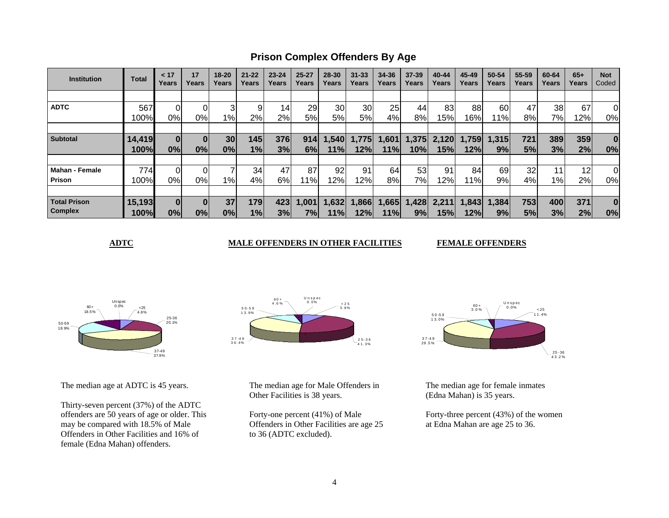**Prison Complex Offenders By Age**

| <b>Institution</b>    | <b>Total</b> | < 17<br>Years | 17<br>Years | $18 - 20$<br>Years | $21 - 22$<br>Years | $23 - 24$<br>Years | $25 - 27$<br>Years | 28-30<br>Years | $31 - 33$<br>Years | 34-36<br>Years | $37 - 39$<br>Years | 40-44<br>Years | 45-49<br>Years | 50-54<br>Years | 55-59<br>Years | 60-64<br>Years | $65+$<br>Years | <b>Not</b><br>Coded |
|-----------------------|--------------|---------------|-------------|--------------------|--------------------|--------------------|--------------------|----------------|--------------------|----------------|--------------------|----------------|----------------|----------------|----------------|----------------|----------------|---------------------|
|                       |              |               |             |                    |                    |                    |                    |                |                    |                |                    |                |                |                |                |                |                |                     |
| <b>ADTC</b>           | 567          |               |             | 3                  | 9                  | 14                 | 29                 | 30             | 30                 | 25             | 44                 | 83             | 88             | 60             | 47             | 38             | 67             | 0                   |
|                       | 100%         | 0%            | 0%l         | $1\%$              | 2%                 | 2%                 | 5%                 | 5%             | 5%                 | 4%             | 8%                 | 15%            | 16%            | $1\%$          | 8%             | 7%             | 12%            | 0%                  |
|                       |              |               |             |                    |                    |                    |                    |                |                    |                |                    |                |                |                |                |                |                |                     |
| <b>Subtotal</b>       | 14,419       | $\bf{0}$      |             | 30 <sub>l</sub>    | 145                | 376                | 914                | 1,540          | 1,775              | 1,601          | 1,375              | 2,120          | 1,759          | 1,315          | 721            | 389            | 359            | $\bf{0}$            |
|                       | 100%         | 0%            | 0%          | 0%                 | 1%                 | 3%                 | 6%                 | 11%            | 12%                | 11%            | 10%                | 15%            | 12%            | 9%             | 5%             | 3%             | 2%             | 0%                  |
|                       |              |               |             |                    |                    |                    |                    |                |                    |                |                    |                |                |                |                |                |                |                     |
| <b>Mahan - Female</b> | 774          |               |             |                    | 34                 | 47                 | 87                 | 92             | 91                 | 64             | 53                 | 91             | 84             | 69             | 32             | 11             | 12             | 0                   |
| Prison                | 100%         | 0%            | 0%l         | $1\%$              | 4%                 | 6%                 | 1%                 | 12%            | 12%                | 8%             | 7%                 | 12%            | 11%            | 9%             | 4%             | $1\%$          | 2%             | 0%                  |
|                       |              |               |             |                    |                    |                    |                    |                |                    |                |                    |                |                |                |                |                |                |                     |
| <b>Total Prison</b>   | 15,193       |               |             | 37                 | 179                | 423                | 1,001              | 1,632          | 1,866              | 1,665          | 428                | 2,211          | ,843           | 1,384          | 753            | 400            | 371            | $\bf{0}$            |
| <b>Complex</b>        | 100%         | 0%            | 0%          | 0%                 | 1%                 | 3%                 | 7%l                | 11%            | 12%l               | 11%l           | 9%                 | 15%            | 12%l           | 9%             | 5%             | 3%             | 2%             | 0%                  |

**ADTC** MALE OFFENDERS IN OTHER FACILITIES

**FEMALE OFFENDERS** 



The median age at ADTC is 45 years.

Thirty-seven percent (37%) of the ADTC offenders are 50 years of age or older. This may be compared with 18.5% of Male Offenders in Other Facilities and 16% of female (Edna Mahan) offenders.



The median age for Male Offenders in Other Facilities is 38 years.

Forty-one percent (41%) of Male Offenders in Other Facilities are age 25 to 36 (ADTC excluded).



The median age for female inmates (Edna Mahan) is 35 years.

Forty-three percent (43%) of the women at Edna Mahan are age 25 to 36.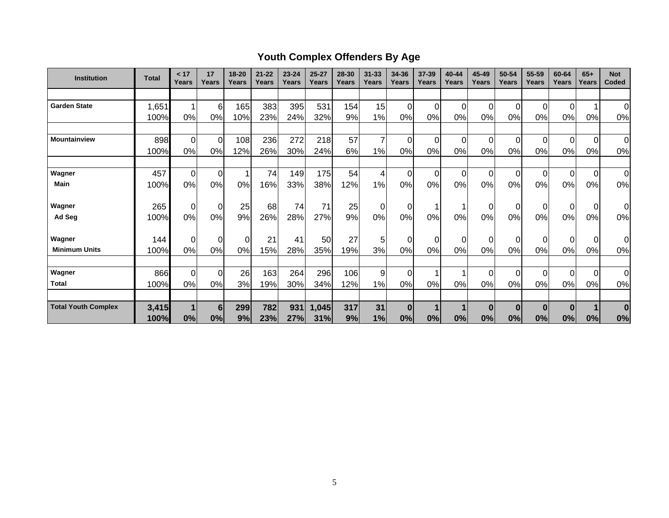# **Youth Complex Offenders By Age**

| <b>Institution</b>         | <b>Total</b> | < 17<br>Years | 17<br>Years    | 18-20<br>Years | $21 - 22$<br>Years | $23 - 24$<br>Years | $25 - 27$<br>Years | 28-30<br>Years | $31 - 33$<br>Years | 34-36<br>Years | 37-39<br>Years | 40-44<br>Years | 45-49<br>Years | 50-54<br>Years | 55-59<br>Years | 60-64<br>Years | $65+$<br>Years | <b>Not</b><br>Coded |
|----------------------------|--------------|---------------|----------------|----------------|--------------------|--------------------|--------------------|----------------|--------------------|----------------|----------------|----------------|----------------|----------------|----------------|----------------|----------------|---------------------|
|                            |              |               |                |                |                    |                    |                    |                |                    |                |                |                |                |                |                |                |                |                     |
| <b>Garden State</b>        | 1,651        | 1             | 6              | 165            | 383                | 395                | 531                | 154            | 15                 | $\overline{0}$ | 0              | 0              | $\Omega$       | 0              |                | $\Omega$       | 1              | $\Omega$            |
|                            | 100%         | 0%            | 0%             | 10%            | 23%                | 24%                | 32%                | 9%             | 1%                 | 0%             | 0%             | 0%             | 0%             | 0%             | 0%             | 0%             | 0%             | 0%                  |
|                            |              |               |                |                |                    |                    |                    |                |                    |                |                |                |                |                |                |                |                |                     |
| <b>Mountainview</b>        | 898          | $\mathbf 0$   | $\Omega$       | 108            | 236                | 272                | 218                | 57             | 7                  | $\mathbf 0$    | $\Omega$       | $\Omega$       | $\Omega$       | 0              | $\Omega$       | $\Omega$       | $\mathbf 0$    | $\overline{0}$      |
|                            | 100%         | 0%            | 0%             | 12%            | 26%                | 30%                | 24%                | 6%             | 1%                 | 0%             | 0%             | 0%             | 0%             | 0%             | 0%             | 0%             | 0%             | 0%                  |
|                            |              |               |                |                |                    |                    |                    |                |                    |                |                |                |                |                |                |                |                |                     |
| Wagner                     | 457          | $\mathbf 0$   | $\overline{0}$ |                | 74                 | 149                | 175                | 54             | 4                  | $\mathbf 0$    | $\Omega$       | $\Omega$       | $\Omega$       | $\mathbf 0$    | $\Omega$       | $\Omega$       | $\overline{0}$ | 0                   |
| <b>Main</b>                | 100%         | 0%            | 0%             | 0%             | 16%                | 33%                | 38%                | 12%            | 1%                 | 0%             | 0%             | 0%             | 0%             | 0%             | 0%             | 0%             | 0%             | 0%                  |
|                            |              |               |                |                |                    |                    |                    |                |                    |                |                |                |                |                |                |                |                |                     |
| Wagner                     | 265          | $\mathbf 0$   | $\overline{0}$ | 25             | 68                 | 74                 | 71                 | 25             | 0                  | $\pmb{0}$      |                |                | 0              | 0              |                | 0              | $\overline{0}$ | 0l                  |
| Ad Seg                     | 100%         | 0%            | 0%             | 9%             | 26%                | 28%                | 27%                | 9%             | 0%                 | 0%             | 0%             | 0%             | 0%             | 0%             | 0%             | 0%             | 0%             | 0%                  |
| Wagner                     | 144          | $\mathbf 0$   | $\overline{0}$ | $\Omega$       | 21                 | 41                 | 50                 | 27             | 5                  | $\mathbf 0$    | $\Omega$       | 0              | $\Omega$       | 0              |                | $\Omega$       | $\overline{0}$ | $\overline{0}$      |
| <b>Minimum Units</b>       | 100%         | 0%            | 0%             | 0%             | 15%                | 28%                | 35%                | 19%            | 3%                 | 0%             | 0%             | 0%             | 0%             | 0%             | 0%             | 0%             | 0%             | 0%                  |
|                            |              |               |                |                |                    |                    |                    |                |                    |                |                |                |                |                |                |                |                |                     |
| Wagner                     | 866          | $\mathbf 0$   | $\overline{0}$ | 26             | 163                | 264                | 296                | 106            | 9                  | $\mathbf 0$    |                |                | $\Omega$       | 0              | $\Omega$       | $\Omega$       | $\overline{0}$ | $\overline{0}$      |
| <b>Total</b>               | 100%         | 0%            | 0%             | 3%             | 19%                | 30%                | 34%                | 12%            | 1%                 | 0%             | 0%             | 0%             | 0%             | 0%             | 0%             | 0%             | 0%             | 0%                  |
|                            |              |               |                |                |                    |                    |                    |                |                    |                |                |                |                |                |                |                |                |                     |
| <b>Total Youth Complex</b> | 3,415        | 1             | 6              | 299            | 782                | 931                | 1,045              | 317            | 31                 | $\mathbf{0}$   |                |                | $\bf{0}$       | $\bf{0}$       | $\bf{0}$       | $\bf{0}$       | $\blacksquare$ | $\bf{0}$            |
|                            | 100%         | 0%            | 0%             | 9%             | 23%                | 27%                | 31%                | 9%             | 1%                 | 0%             | 0%             | 0%             | 0%             | 0%             | 0%             | 0%             | 0%             | 0%                  |